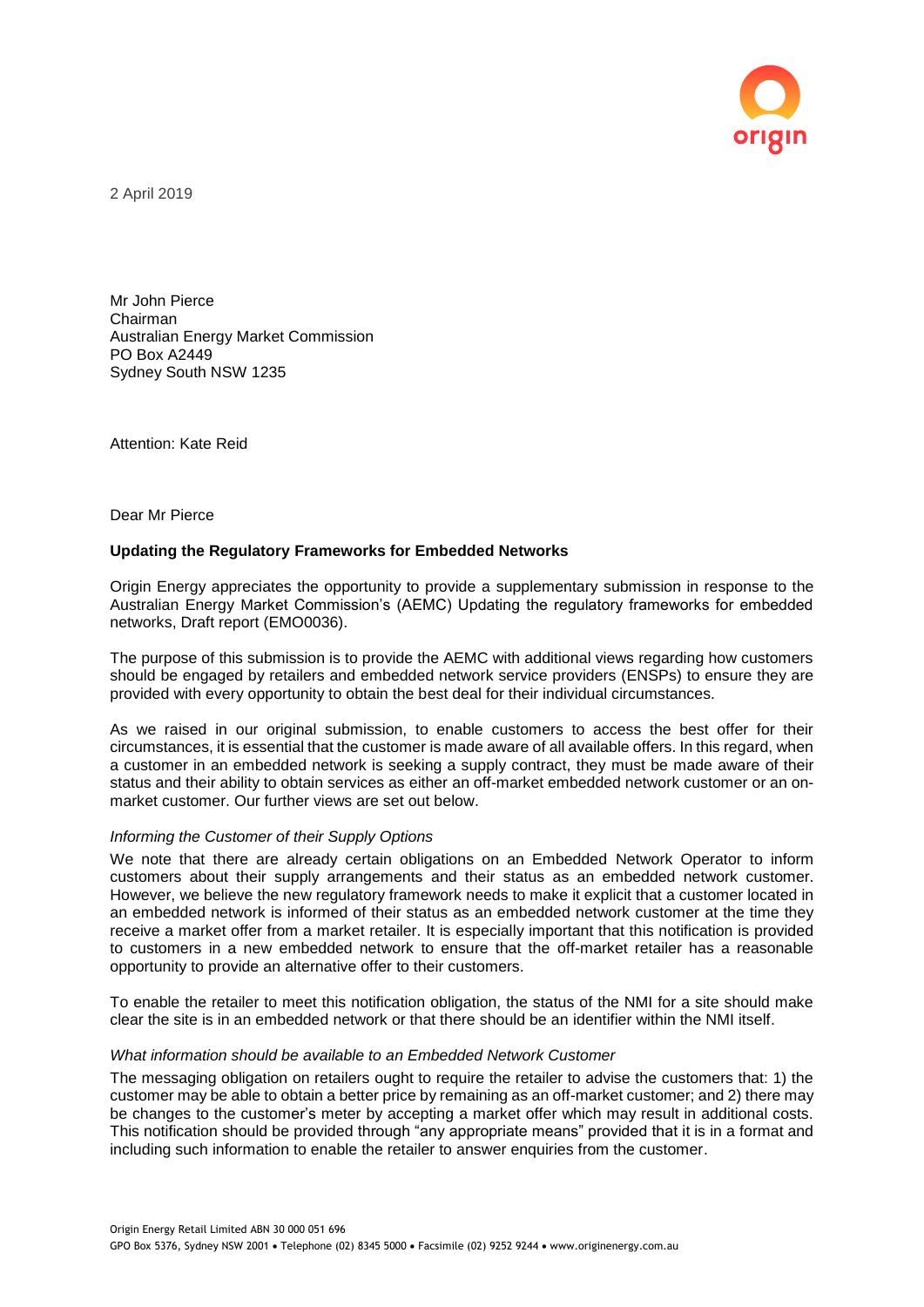

2 April 2019

Mr John Pierce Chairman Australian Energy Market Commission PO Box A2449 Sydney South NSW 1235

Attention: Kate Reid

Dear Mr Pierce

# **Updating the Regulatory Frameworks for Embedded Networks**

Origin Energy appreciates the opportunity to provide a supplementary submission in response to the Australian Energy Market Commission's (AEMC) Updating the regulatory frameworks for embedded networks, Draft report (EMO0036).

The purpose of this submission is to provide the AEMC with additional views regarding how customers should be engaged by retailers and embedded network service providers (ENSPs) to ensure they are provided with every opportunity to obtain the best deal for their individual circumstances.

As we raised in our original submission, to enable customers to access the best offer for their circumstances, it is essential that the customer is made aware of all available offers. In this regard, when a customer in an embedded network is seeking a supply contract, they must be made aware of their status and their ability to obtain services as either an off-market embedded network customer or an onmarket customer. Our further views are set out below.

# *Informing the Customer of their Supply Options*

We note that there are already certain obligations on an Embedded Network Operator to inform customers about their supply arrangements and their status as an embedded network customer. However, we believe the new regulatory framework needs to make it explicit that a customer located in an embedded network is informed of their status as an embedded network customer at the time they receive a market offer from a market retailer. It is especially important that this notification is provided to customers in a new embedded network to ensure that the off-market retailer has a reasonable opportunity to provide an alternative offer to their customers.

To enable the retailer to meet this notification obligation, the status of the NMI for a site should make clear the site is in an embedded network or that there should be an identifier within the NMI itself.

#### *What information should be available to an Embedded Network Customer*

The messaging obligation on retailers ought to require the retailer to advise the customers that: 1) the customer may be able to obtain a better price by remaining as an off-market customer; and 2) there may be changes to the customer's meter by accepting a market offer which may result in additional costs. This notification should be provided through "any appropriate means" provided that it is in a format and including such information to enable the retailer to answer enquiries from the customer.